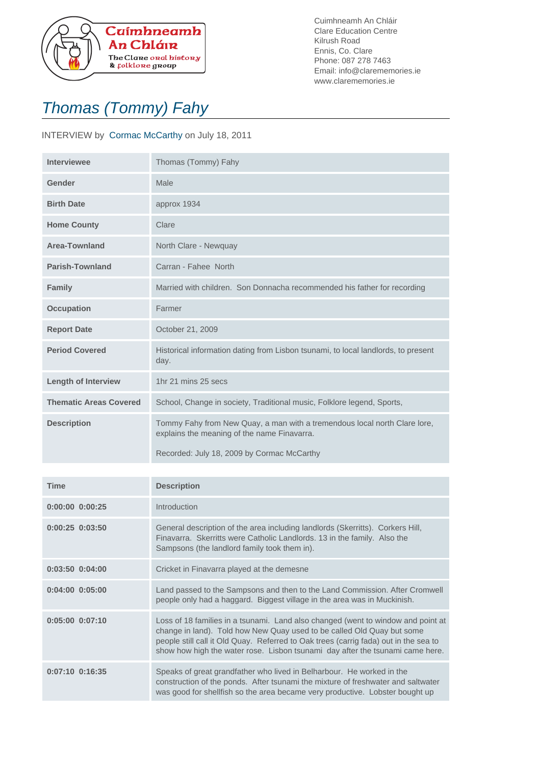

Cuimhneamh An Chláir Clare Education Centre Kilrush Road Ennis, Co. Clare Phone: 087 278 7463 Email: info@clarememories.ie www.clarememories.ie

## Thomas (Tommy) Fahy

## INTERVIEW by Cormac McCarthy on July 18, 2011

| <b>Interviewee</b>            | Thomas (Tommy) Fahy                                                                                                                                                    |
|-------------------------------|------------------------------------------------------------------------------------------------------------------------------------------------------------------------|
| Gender                        | Male                                                                                                                                                                   |
| <b>Birth Date</b>             | approx 1934                                                                                                                                                            |
| <b>Home County</b>            | Clare                                                                                                                                                                  |
| <b>Area-Townland</b>          | North Clare - Newquay                                                                                                                                                  |
| <b>Parish-Townland</b>        | Carran - Fahee North                                                                                                                                                   |
| <b>Family</b>                 | Married with children. Son Donnacha recommended his father for recording                                                                                               |
| <b>Occupation</b>             | Farmer                                                                                                                                                                 |
| <b>Report Date</b>            | October 21, 2009                                                                                                                                                       |
| <b>Period Covered</b>         | Historical information dating from Lisbon tsunami, to local landlords, to present<br>day.                                                                              |
| <b>Length of Interview</b>    | 1hr 21 mins 25 secs                                                                                                                                                    |
| <b>Thematic Areas Covered</b> | School, Change in society, Traditional music, Folklore legend, Sports,                                                                                                 |
| <b>Description</b>            | Tommy Fahy from New Quay, a man with a tremendous local north Clare lore,<br>explains the meaning of the name Finavarra.<br>Recorded: July 18, 2009 by Cormac McCarthy |

| <b>Time</b>         | <b>Description</b>                                                                                                                                                                                                                                                                                                                  |
|---------------------|-------------------------------------------------------------------------------------------------------------------------------------------------------------------------------------------------------------------------------------------------------------------------------------------------------------------------------------|
| $0:00:00$ $0:00:25$ | Introduction                                                                                                                                                                                                                                                                                                                        |
| $0:00:25$ $0:03:50$ | General description of the area including landlords (Skerritts). Corkers Hill,<br>Finavarra. Skerritts were Catholic Landlords. 13 in the family. Also the<br>Sampsons (the landlord family took them in).                                                                                                                          |
| $0:03:50$ $0:04:00$ | Cricket in Finavarra played at the demesne                                                                                                                                                                                                                                                                                          |
| $0:04:00$ $0:05:00$ | Land passed to the Sampsons and then to the Land Commission. After Cromwell<br>people only had a haggard. Biggest village in the area was in Muckinish.                                                                                                                                                                             |
| $0:05:00$ $0:07:10$ | Loss of 18 families in a tsunami. Land also changed (went to window and point at<br>change in land). Told how New Quay used to be called Old Quay but some<br>people still call it Old Quay. Referred to Oak trees (carrig fada) out in the sea to<br>show how high the water rose. Lisbon tsunami day after the tsunami came here. |
| $0:07:10$ $0:16:35$ | Speaks of great grandfather who lived in Belharbour. He worked in the<br>construction of the ponds. After tsunami the mixture of freshwater and saltwater<br>was good for shellfish so the area became very productive. Lobster bought up                                                                                           |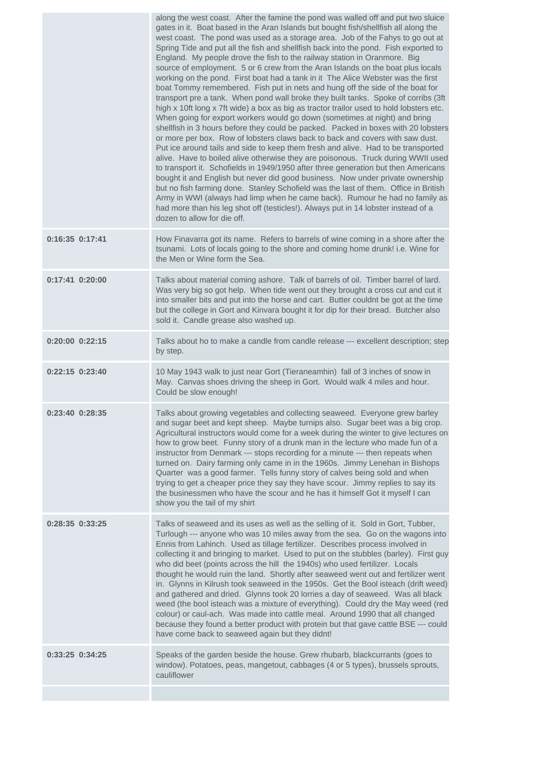|                 | along the west coast. After the famine the pond was walled off and put two sluice<br>gates in it. Boat based in the Aran Islands but bought fish/shellfish all along the<br>west coast. The pond was used as a storage area. Job of the Fahys to go out at<br>Spring Tide and put all the fish and shellfish back into the pond. Fish exported to<br>England. My people drove the fish to the railway station in Oranmore. Big<br>source of employment. 5 or 6 crew from the Aran Islands on the boat plus locals<br>working on the pond. First boat had a tank in it The Alice Webster was the first<br>boat Tommy remembered. Fish put in nets and hung off the side of the boat for<br>transport pre a tank. When pond wall broke they built tanks. Spoke of corribs (3ft<br>high x 10ft long x 7ft wide) a box as big as tractor trailor used to hold lobsters etc.<br>When going for export workers would go down (sometimes at night) and bring<br>shellfish in 3 hours before they could be packed. Packed in boxes with 20 lobsters<br>or more per box. Row of lobsters claws back to back and covers with saw dust.<br>Put ice around tails and side to keep them fresh and alive. Had to be transported<br>alive. Have to boiled alive otherwise they are poisonous. Truck during WWII used<br>to transport it. Schofields in 1949/1950 after three generation but then Americans<br>bought it and English but never did good business. Now under private ownership<br>but no fish farming done. Stanley Schofield was the last of them. Office in British<br>Army in WWI (always had limp when he came back). Rumour he had no family as<br>had more than his leg shot off (testicles!). Always put in 14 lobster instead of a<br>dozen to allow for die off. |
|-----------------|--------------------------------------------------------------------------------------------------------------------------------------------------------------------------------------------------------------------------------------------------------------------------------------------------------------------------------------------------------------------------------------------------------------------------------------------------------------------------------------------------------------------------------------------------------------------------------------------------------------------------------------------------------------------------------------------------------------------------------------------------------------------------------------------------------------------------------------------------------------------------------------------------------------------------------------------------------------------------------------------------------------------------------------------------------------------------------------------------------------------------------------------------------------------------------------------------------------------------------------------------------------------------------------------------------------------------------------------------------------------------------------------------------------------------------------------------------------------------------------------------------------------------------------------------------------------------------------------------------------------------------------------------------------------------------------------------------------------------------------------------------------------------|
| 0:16:35 0:17:41 | How Finavarra got its name. Refers to barrels of wine coming in a shore after the<br>tsunami. Lots of locals going to the shore and coming home drunk! i.e. Wine for<br>the Men or Wine form the Sea.                                                                                                                                                                                                                                                                                                                                                                                                                                                                                                                                                                                                                                                                                                                                                                                                                                                                                                                                                                                                                                                                                                                                                                                                                                                                                                                                                                                                                                                                                                                                                                    |
| 0:17:41 0:20:00 | Talks about material coming ashore. Talk of barrels of oil. Timber barrel of lard.<br>Was very big so got help. When tide went out they brought a cross cut and cut it<br>into smaller bits and put into the horse and cart. Butter couldnt be got at the time<br>but the college in Gort and Kinvara bought it for dip for their bread. Butcher also<br>sold it. Candle grease also washed up.                                                                                                                                                                                                                                                                                                                                                                                                                                                                                                                                                                                                                                                                                                                                                                                                                                                                                                                                                                                                                                                                                                                                                                                                                                                                                                                                                                          |
| 0:20:00 0:22:15 | Talks about ho to make a candle from candle release --- excellent description; step<br>by step.                                                                                                                                                                                                                                                                                                                                                                                                                                                                                                                                                                                                                                                                                                                                                                                                                                                                                                                                                                                                                                                                                                                                                                                                                                                                                                                                                                                                                                                                                                                                                                                                                                                                          |
| 0:22:15 0:23:40 | 10 May 1943 walk to just near Gort (Tieraneamhin) fall of 3 inches of snow in<br>May. Canvas shoes driving the sheep in Gort. Would walk 4 miles and hour.<br>Could be slow enough!                                                                                                                                                                                                                                                                                                                                                                                                                                                                                                                                                                                                                                                                                                                                                                                                                                                                                                                                                                                                                                                                                                                                                                                                                                                                                                                                                                                                                                                                                                                                                                                      |
| 0:23:40 0:28:35 | Talks about growing vegetables and collecting seaweed. Everyone grew barley<br>and sugar beet and kept sheep. Maybe turnips also. Sugar beet was a big crop.<br>Agricultural instructors would come for a week during the winter to give lectures on<br>how to grow beet. Funny story of a drunk man in the lecture who made fun of a<br>instructor from Denmark --- stops recording for a minute --- then repeats when<br>turned on. Dairy farming only came in in the 1960s. Jimmy Lenehan in Bishops<br>Quarter was a good farmer. Tells funny story of calves being sold and when<br>trying to get a cheaper price they say they have scour. Jimmy replies to say its<br>the businessmen who have the scour and he has it himself Got it myself I can<br>show you the tail of my shirt                                                                                                                                                                                                                                                                                                                                                                                                                                                                                                                                                                                                                                                                                                                                                                                                                                                                                                                                                                               |
| 0:28:35 0:33:25 | Talks of seaweed and its uses as well as the selling of it. Sold in Gort, Tubber,<br>Turlough --- anyone who was 10 miles away from the sea. Go on the wagons into<br>Ennis from Lahinch. Used as tillage fertilizer. Describes process involved in<br>collecting it and bringing to market. Used to put on the stubbles (barley). First guy<br>who did beet (points across the hill the 1940s) who used fertilizer. Locals<br>thought he would ruin the land. Shortly after seaweed went out and fertilizer went<br>in. Glynns in Kilrush took seaweed in the 1950s. Get the Bool isteach (drift weed)<br>and gathered and dried. Glynns took 20 lorries a day of seaweed. Was all black<br>weed (the bool isteach was a mixture of everything). Could dry the May weed (red<br>colour) or caul-ach. Was made into cattle meal. Around 1990 that all changed<br>because they found a better product with protein but that gave cattle BSE --- could<br>have come back to seaweed again but they didnt!                                                                                                                                                                                                                                                                                                                                                                                                                                                                                                                                                                                                                                                                                                                                                                  |
| 0:33:25 0:34:25 | Speaks of the garden beside the house. Grew rhubarb, blackcurrants (goes to<br>window). Potatoes, peas, mangetout, cabbages (4 or 5 types), brussels sprouts,<br>cauliflower                                                                                                                                                                                                                                                                                                                                                                                                                                                                                                                                                                                                                                                                                                                                                                                                                                                                                                                                                                                                                                                                                                                                                                                                                                                                                                                                                                                                                                                                                                                                                                                             |
|                 |                                                                                                                                                                                                                                                                                                                                                                                                                                                                                                                                                                                                                                                                                                                                                                                                                                                                                                                                                                                                                                                                                                                                                                                                                                                                                                                                                                                                                                                                                                                                                                                                                                                                                                                                                                          |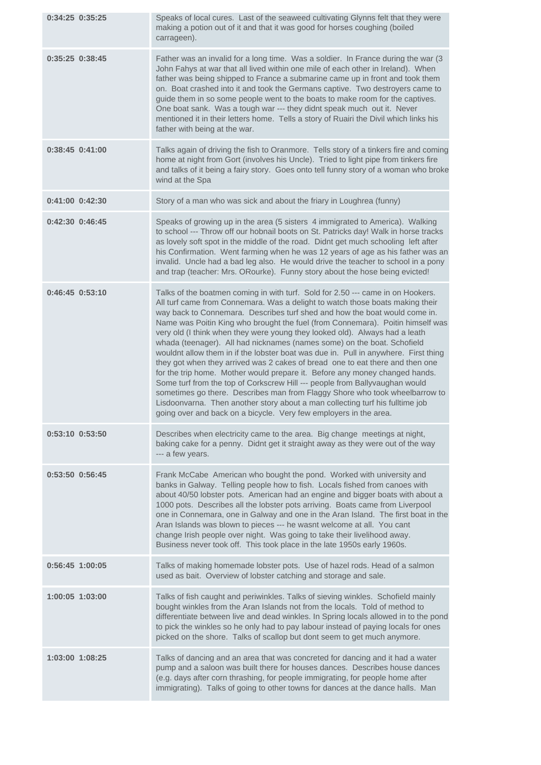| 0:34:25 0:35:25     | Speaks of local cures. Last of the seaweed cultivating Glynns felt that they were<br>making a potion out of it and that it was good for horses coughing (boiled<br>carrageen).                                                                                                                                                                                                                                                                                                                                                                                                                                                                                                                                                                                                                                                                                                                                                                                                                                                                                        |
|---------------------|-----------------------------------------------------------------------------------------------------------------------------------------------------------------------------------------------------------------------------------------------------------------------------------------------------------------------------------------------------------------------------------------------------------------------------------------------------------------------------------------------------------------------------------------------------------------------------------------------------------------------------------------------------------------------------------------------------------------------------------------------------------------------------------------------------------------------------------------------------------------------------------------------------------------------------------------------------------------------------------------------------------------------------------------------------------------------|
| $0:35:25$ $0:38:45$ | Father was an invalid for a long time. Was a soldier. In France during the war (3<br>John Fahys at war that all lived within one mile of each other in Ireland). When<br>father was being shipped to France a submarine came up in front and took them<br>on. Boat crashed into it and took the Germans captive. Two destroyers came to<br>guide them in so some people went to the boats to make room for the captives.<br>One boat sank. Was a tough war --- they didnt speak much out it. Never<br>mentioned it in their letters home. Tells a story of Ruairi the Divil which links his<br>father with being at the war.                                                                                                                                                                                                                                                                                                                                                                                                                                          |
| 0:38:45 0:41:00     | Talks again of driving the fish to Oranmore. Tells story of a tinkers fire and coming<br>home at night from Gort (involves his Uncle). Tried to light pipe from tinkers fire<br>and talks of it being a fairy story. Goes onto tell funny story of a woman who broke<br>wind at the Spa                                                                                                                                                                                                                                                                                                                                                                                                                                                                                                                                                                                                                                                                                                                                                                               |
| $0:41:00$ $0:42:30$ | Story of a man who was sick and about the friary in Loughrea (funny)                                                                                                                                                                                                                                                                                                                                                                                                                                                                                                                                                                                                                                                                                                                                                                                                                                                                                                                                                                                                  |
| $0:42:30$ $0:46:45$ | Speaks of growing up in the area (5 sisters 4 immigrated to America). Walking<br>to school --- Throw off our hobnail boots on St. Patricks day! Walk in horse tracks<br>as lovely soft spot in the middle of the road. Didnt get much schooling left after<br>his Confirmation. Went farming when he was 12 years of age as his father was an<br>invalid. Uncle had a bad leg also. He would drive the teacher to school in a pony<br>and trap (teacher: Mrs. ORourke). Funny story about the hose being evicted!                                                                                                                                                                                                                                                                                                                                                                                                                                                                                                                                                     |
| 0:46:45 0:53:10     | Talks of the boatmen coming in with turf. Sold for 2.50 --- came in on Hookers.<br>All turf came from Connemara. Was a delight to watch those boats making their<br>way back to Connemara. Describes turf shed and how the boat would come in.<br>Name was Poitin King who brought the fuel (from Connemara). Poitin himself was<br>very old (I think when they were young they looked old). Always had a leath<br>whada (teenager). All had nicknames (names some) on the boat. Schofield<br>wouldnt allow them in if the lobster boat was due in. Pull in anywhere. First thing<br>they got when they arrived was 2 cakes of bread one to eat there and then one<br>for the trip home. Mother would prepare it. Before any money changed hands.<br>Some turf from the top of Corkscrew Hill --- people from Ballyvaughan would<br>sometimes go there. Describes man from Flaggy Shore who took wheelbarrow to<br>Lisdoonvarna. Then another story about a man collecting turf his fulltime job<br>going over and back on a bicycle. Very few employers in the area. |
| $0:53:10$ $0:53:50$ | Describes when electricity came to the area. Big change meetings at night,<br>baking cake for a penny. Didnt get it straight away as they were out of the way<br>--- a few years.                                                                                                                                                                                                                                                                                                                                                                                                                                                                                                                                                                                                                                                                                                                                                                                                                                                                                     |
| 0:53:50 0:56:45     | Frank McCabe American who bought the pond. Worked with university and<br>banks in Galway. Telling people how to fish. Locals fished from canoes with<br>about 40/50 lobster pots. American had an engine and bigger boats with about a<br>1000 pots. Describes all the lobster pots arriving. Boats came from Liverpool<br>one in Connemara, one in Galway and one in the Aran Island. The first boat in the<br>Aran Islands was blown to pieces --- he wasnt welcome at all. You cant<br>change Irish people over night. Was going to take their livelihood away.<br>Business never took off. This took place in the late 1950s early 1960s.                                                                                                                                                                                                                                                                                                                                                                                                                         |
| 0:56:45 1:00:05     | Talks of making homemade lobster pots. Use of hazel rods. Head of a salmon<br>used as bait. Overview of lobster catching and storage and sale.                                                                                                                                                                                                                                                                                                                                                                                                                                                                                                                                                                                                                                                                                                                                                                                                                                                                                                                        |
| 1:00:05 1:03:00     | Talks of fish caught and periwinkles. Talks of sieving winkles. Schofield mainly<br>bought winkles from the Aran Islands not from the locals. Told of method to<br>differentiate between live and dead winkles. In Spring locals allowed in to the pond<br>to pick the winkles so he only had to pay labour instead of paying locals for ones<br>picked on the shore. Talks of scallop but dont seem to get much anymore.                                                                                                                                                                                                                                                                                                                                                                                                                                                                                                                                                                                                                                             |
| 1:03:00 1:08:25     | Talks of dancing and an area that was concreted for dancing and it had a water<br>pump and a saloon was built there for houses dances. Describes house dances<br>(e.g. days after corn thrashing, for people immigrating, for people home after<br>immigrating). Talks of going to other towns for dances at the dance halls. Man                                                                                                                                                                                                                                                                                                                                                                                                                                                                                                                                                                                                                                                                                                                                     |